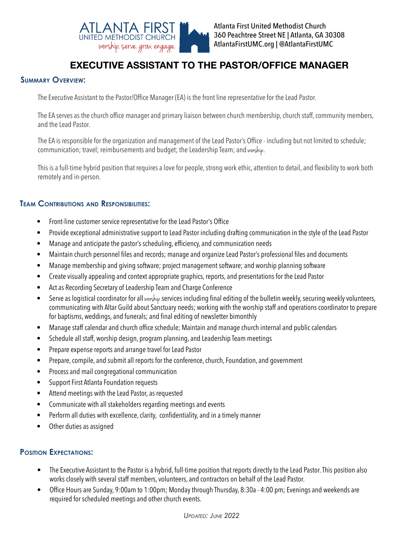

# **EXECUTIVE ASSISTANT TO THE PASTOR/OFFICE MANAGER**

#### **Summary Overview:**

The Executive Assistant to the Pastor/Office Manager (EA) is the front line representative for the Lead Pastor.

The EA serves as the church office manager and primary liaison between church membership, church staff, community members, and the Lead Pastor.

The EA is responsible for the organization and management of the Lead Pastor's Office - including but not limited to schedule; communication; travel; reimbursements and budget; the Leadership Team; and worship.

This is a full-time hybrid position that requires a love for people, strong work ethic, attention to detail, and flexibility to work both remotely and in-person.

# **Team Contributions and Responsibilities:**

- Front-line customer service representative for the Lead Pastor's Office
- Provide exceptional administrative support to Lead Pastor including drafting communication in the style of the Lead Pastor
- Manage and anticipate the pastor's scheduling, efficiency, and communication needs
- Maintain church personnel files and records; manage and organize Lead Pastor's professional files and documents
- Manage membership and giving software; project management software; and worship planning software
- Create visually appealing and context appropriate graphics, reports, and presentations for the Lead Pastor
- Act as Recording Secretary of Leadership Team and Charge Conference
- Serve as logistical coordinator for all worship services including final editing of the bulletin weekly, securing weekly volunteers, communicating with Altar Guild about Sanctuary needs; working with the worship staff and operations coordinator to prepare for baptisms, weddings, and funerals; and final editing of newsletter bimonthly
- Manage staff calendar and church office schedule; Maintain and manage church internal and public calendars
- Schedule all staff, worship design, program planning, and Leadership Team meetings
- Prepare expense reports and arrange travel for Lead Pastor
- Prepare, compile, and submit all reports for the conference, church, Foundation, and government
- Process and mail congregational communication
- Support First Atlanta Foundation requests
- Attend meetings with the Lead Pastor, as requested
- Communicate with all stakeholders regarding meetings and events
- Perform all duties with excellence, clarity, confidentiality, and in a timely manner
- Other duties as assigned

# **Position Expectations:**

- The Executive Assistant to the Pastor is a hybrid, full-time position that reports directly to the Lead Pastor. This position also works closely with several staff members, volunteers, and contractors on behalf of the Lead Pastor.
- Office Hours are Sunday, 9:00am to 1:00pm; Monday through Thursday, 8:30a 4:00 pm; Evenings and weekends are required for scheduled meetings and other church events.